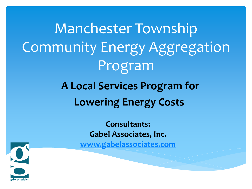Manchester Township Community Energy Aggregation Program

#### **A Local Services Program for Lowering Energy Costs**

**Consultants: Gabel Associates, Inc. [www.gabelassociates.com](http://www.gabelassociates.com/)**

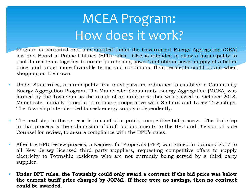#### MCEA Program: How does it work?

• Program is permitted and implemented under the Government Energy Aggregation (GEA) law and Board of Public Utilities (BPU) rules. GEA is intended to allow a municipality to pool its residents together to create 'purchasing power' and obtain power supply at a better price, and under more favorable terms and conditions, than residents could obtain when shopping on their own.

- Under State rules, a municipality first must pass an ordinance to establish a Community Energy Aggregation Program. The Manchester Community Energy Aggregation (MCEA) was formed by the Township as the result of an ordinance that was passed in October 2013. Manchester initially joined a purchasing cooperative with Stafford and Lacey Townships. The Township later decided to seek energy supply independently.
- ∗ The next step in the process is to conduct a pubic, competitive bid process. The first step in that process is the submission of draft bid documents to the BPU and Division of Rate Counsel for review, to assure compliance with the BPU's rules.
- After the BPU review process, a Request for Proposals (RFP) was issued in January 2017 to all New Jersey licensed third party suppliers, requesting competitive offers to supply electricity to Township residents who are not currently being served by a third party supplier.
- **Under BPU rules, the Township could only award a contract if the bid price was below the current tariff price charged by JCP&L. If there were no savings, then no contract could be awarded**.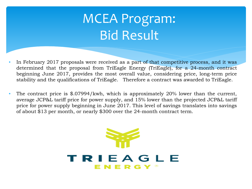### MCEA Program: Bid Result

- In February 2017 proposals were received as a part of that competitive process, and it was determined that the proposal from TriEagle Energy (TriEagle), for a 24-month contract beginning June 2017, provides the most overall value, considering price, long-term price stability and the qualifications of TriEagle. Therefore a contract was awarded to TriEagle.
- The contract price is \$.07994/kwh, which is approximately 20% lower than the current, average JCP&L tariff price for power supply, and 15% lower than the projected JCP&L tariff price for power supply beginning in June 2017. This level of savings translates into savings of about \$13 per month, or nearly \$300 over the 24-month contract term.

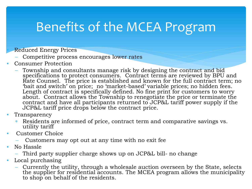#### Benefits of the MCEA Program

• Reduced Energy Prices

- Competitive process encourages lower rates
- Consumer Protection
	- Township and consultants manage risk by designing the contract and bid specifications to protect consumers. Contract terms are reviewed by BPU and Rate Counsel. The price is established and known for the full contract term; no 'bait and switch' on price; no 'market-based' variable prices; no hidden fees. Length of contract is specifically defined. No fine print for customers to worry about. Contract allows the Township to renegotiate the price or terminate the contract and have all participants returned to JCP&L tariff power supply if the JCP&L tariff price drops below the contract price.
- **Transparency** 
	- ∗ Residents are informed of price, contract term and comparative savings vs. utility tariff
- Customer Choice
	- Customers may opt out at any time with no exit fee
- No Hassle
	- Third party supplier charge shows up on JCP&L bill- no change
- Local purchasing
	- Currently the utility, through a wholesale auction overseen by the State, selects the supplier for residential accounts. The MCEA program allows the municipality to shop on behalf of the residents.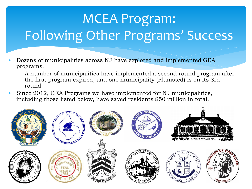## MCEA Program: Following Other Programs' Success

- Dozens of municipalities across NJ have explored and implemented GEA programs.
	- A number of municipalities have implemented a second round program after the first program expired, and one municipality (Plumsted) is on its 3rd round.
- Since 2012, GEA Programs we have implemented for NJ municipalities, including those listed below, have saved residents \$50 million in total.

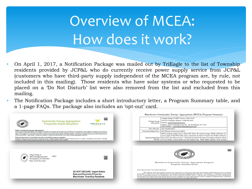# Overview of MCEA: How does it work?

- On April 1, 2017, a Notification Package was mailed out by TriEagle to the list of Township residents provided by JCP&L who do currently receive power supply service from JCP&L (customers who have third-party supply independent of the MCEA program are, by rule, not included in this mailing). Those residents who have solar systems or who requested to be placed on a 'Do Not Disturb' list were also removed from the list and excluded from this mailing.
- The Notification Package includes a short introductory letter, a Program Summary table, and a 1-page FAQs. The package also includes an 'opt-out' card.

|                                                                                               |                                                                                                                                                                                                                                                                                                                                                                                                                                                                                                                                                                                                                                                                                                                                                                      |               | Manchester Community Energy Aggregation (MCEA) Program Summary |                                                                                                                                                                                                                                                                                                                                                                                                                                                                                                                                                                                        |  |  |
|-----------------------------------------------------------------------------------------------|----------------------------------------------------------------------------------------------------------------------------------------------------------------------------------------------------------------------------------------------------------------------------------------------------------------------------------------------------------------------------------------------------------------------------------------------------------------------------------------------------------------------------------------------------------------------------------------------------------------------------------------------------------------------------------------------------------------------------------------------------------------------|---------------|----------------------------------------------------------------|----------------------------------------------------------------------------------------------------------------------------------------------------------------------------------------------------------------------------------------------------------------------------------------------------------------------------------------------------------------------------------------------------------------------------------------------------------------------------------------------------------------------------------------------------------------------------------------|--|--|
|                                                                                               | <b>Community Energy Aggregation</b><br><b>Frequently Asked Questions</b>                                                                                                                                                                                                                                                                                                                                                                                                                                                                                                                                                                                                                                                                                             | 鹽<br>TRIEAGLE | <b>TriEagle Energy</b><br>Information:                         | TriEagle Energy LP (BPU License # ESL-0134)<br>Toll Free Telephone Number: 1-888-893-6581<br>Website: www.tricagleenergy.com<br>Address: 2620 Technology Forest Dr., The Woodlands, TX 77381<br>Email Address: customercare@tricagleenergy.com                                                                                                                                                                                                                                                                                                                                         |  |  |
|                                                                                               |                                                                                                                                                                                                                                                                                                                                                                                                                                                                                                                                                                                                                                                                                                                                                                      |               | Price Structure:                                               | Non-Variable Price <sup>1</sup>                                                                                                                                                                                                                                                                                                                                                                                                                                                                                                                                                        |  |  |
| <b>What is Community Energy Aggregation?</b>                                                  | Community Energy Aggregation is a program permitted under New Jersey State law that allows municipalities to pool together residents and conduct a                                                                                                                                                                                                                                                                                                                                                                                                                                                                                                                                                                                                                   |               | Generation/Supply Price:                                       | \$0.07994 per kilowatt-hour (kWh)                                                                                                                                                                                                                                                                                                                                                                                                                                                                                                                                                      |  |  |
|                                                                                               | bid for power supply from third-party suppliers, with the aim of obtaining a power supply price that is cheaper than the supply price charged by the electric<br>utility. The program is conducted under the oversight of the New Jersey Board of Public Utilities, the Division of Rate Counsel and the Department of<br>Community Affairs. Manchester Township's program is called the Manchester Community Energy Aggregation (MCEA).<br>Who has Manchester Township selected as the MCEA program supplier?<br>TriEagle Energy was selected by the Township as the qualified supplier with the lowest proposed price in a public, competitive procurement. TriEagle<br>Energy is an electric power supplier licensed by the New Jersey Board of Public Utilities. |               |                                                                | MCEA program supply price is about 20% below the current average JCP&L tariff price for<br>power supply of \$0.10054/kWh, and is estimated to be about 15% below the JCP&L tariff price<br>Statement Regarding that will go into effect on 6/1/17. Estimated savings for the typical Township resident are about<br>Savings: \$13 per month, or about \$300 over the contract term. While highly unlikely, if the average                                                                                                                                                              |  |  |
| <b>TriEagle Energy, LP</b><br>2620 Technology Forest Blyd.<br><b>Return Service Requested</b> | 20473<br>The Woodlands, TX 77381-9931                                                                                                                                                                                                                                                                                                                                                                                                                                                                                                                                                                                                                                                                                                                                | 爨             |                                                                | 陸離<br><b>Manchester Community Energy Aggregation Program</b><br><b>Program Announcement</b>                                                                                                                                                                                                                                                                                                                                                                                                                                                                                            |  |  |
|                                                                                               | <b>DO NOT DISCARD. Urgent Notice</b><br><b>Reduced Electricity Prices for</b><br><b>Manchester Township Residents</b>                                                                                                                                                                                                                                                                                                                                                                                                                                                                                                                                                                                                                                                |               |                                                                | <b>Dear Manchester Township Resident:</b><br>The Mayor and Township Council are pleased to announce that the Township of Manchester has recently<br>awarded a contract for the Manchester Community Energy Aggregation (MCEA). The MCEA - originally authorized<br>by the Township Council via Ordinance No. #2013-009 in October 2013 - allows the Township to seek competitive<br>proposals from State-licensed, third-party power suppliers to provide electric power supply to Manchester residents<br>at a price lower than that offered by Jersey Central Power & Light (JCP&L). |  |  |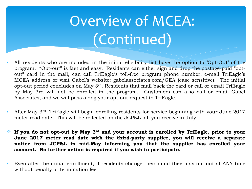# Overview of MCEA: (Continued)

- All residents who are included in the initial eligibility list have the option to 'Opt-Out' of the program. "Opt-out" is fast and easy. Residents can either sign and drop the postage-paid "optout" card in the mail, can call TriEagle's toll-free program phone number, e-mail TriEagle's MCEA address or visit Gabel's website: gabelassociates.com/GEA (case sensitive). The initial opt-out period concludes on May 3rd. Residents that mail back the card or call or email TriEagle by May 3rd will not be enrolled in the program. Customers can also call or email Gabel Associates, and we will pass along your opt-out request to TriEagle.
- After May 3rd, TriEagle will begin enrolling residents for service beginning with your June 2017 meter read date. This will be reflected on the JCP&L bill you receive in July.
- **If you do not opt-out by May 3rd and your account is enrolled by TriEagle, prior to your June 2017 meter read date with the third-party supplier, you will receive a separate notice from JCP&L in mid-May informing you that the supplier has enrolled your account. No further action is required if you wish to participate.**
- Even after the initial enrollment, if residents change their mind they may opt-out at ANY time without penalty or termination fee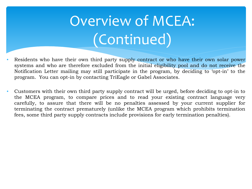# Overview of MCEA: (Continued)

- Residents who have their own third party supply contract or who have their own solar power systems and who are therefore excluded from the initial eligibility pool and do not receive the Notification Letter mailing may still participate in the program, by deciding to 'opt-in' to the program. You can opt-in by contacting TriEagle or Gabel Associates.
- Customers with their own third party supply contract will be urged, before deciding to opt-in to the MCEA program, to compare prices and to read your existing contract language very carefully, to assure that there will be no penalties assessed by your current supplier for terminating the contract prematurely (unlike the MCEA program which prohibits termination fees, some third party supply contracts include provisions for early termination penalties).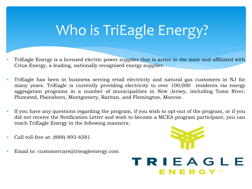## Who is TriEagle Energy?

- TriEagle Energy is a licensed electric power supplier that is active in the state and affiliated with Crius Energy, a leading, nationally recognized energy supplier.
- TriEagle has been in business serving retail electricity and natural gas customers in NJ for many years. TriEagle is currently providing electricity to over 100,000 residents via energy aggregation programs in a number of municipalities in New Jersey, including Toms River, Plumsted, Plainsboro, Montgomery, Raritan, and Flemington, Monroe.
- If you have any questions regarding the program, if you wish to opt-out of the program, or if you did not receive the Notification Letter and wish to become a MCEA program participant, you can reach TriEagle Energy in the following manners:
- Call toll-free at: (888)-893-6581
- Email to: customercare@trieagleenergy.com

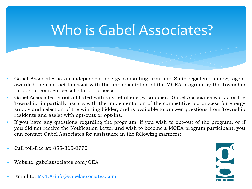#### Who is Gabel Associates?

- Gabel Associates is an independent energy consulting firm and State-registered energy agent awarded the contract to assist with the implementation of the MCEA program by the Township through a competitive solicitation process.
- Gabel Associates is not affiliated with any retail energy supplier. Gabel Associates works for the Township, impartially assists with the implementation of the competitive bid process for energy supply and selection of the winning bidder, and is available to answer questions from Township residents and assist with opt-outs or opt-ins.
- If you have any questions regarding the progr am, if you wish to opt-out of the program, or if you did not receive the Notification Letter and wish to become a MCEA program participant, you can contact Gabel Associates for assistance in the following manners:
- ∗ Call toll-free at: 855-365-0770
- ∗ Website: gabelassociates.com/GEA
- Email to: [MCEA-info@gabelassociates.com](mailto:mcea-info@gabelassociates.com)

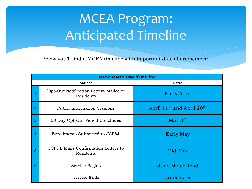#### MCEA Program: Anticipated Timeline

Below you'll find a MCEA timeline with important dates to remember:

| <b>Manchester CEA Timeline</b> |                                                      |                                                   |  |  |  |  |
|--------------------------------|------------------------------------------------------|---------------------------------------------------|--|--|--|--|
|                                | <b>Actions</b>                                       | <b>Dates</b>                                      |  |  |  |  |
|                                | 'Opt-Out Notification Letters Mailed to<br>Residents | <b>Early April</b>                                |  |  |  |  |
| 2                              | <b>Public Information Sessions</b>                   | April 11 <sup>th</sup> and April 20 <sup>th</sup> |  |  |  |  |
| 3                              | 30 Day Opt-Out Period Concludes                      | May 3 <sup>rd</sup>                               |  |  |  |  |
| 4                              | Enrollments Submitted to JCP&L                       | Early May                                         |  |  |  |  |
| 5                              | JCP&L Mails Confirmation Letters to<br>Residents     | Mid-May                                           |  |  |  |  |
| 6                              | Service Begins                                       | June Meter Read                                   |  |  |  |  |
| 7                              | Service Ends                                         | June 2019                                         |  |  |  |  |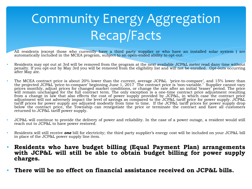## Community Energy Aggregation Recap/Facts

- All residents (except those who currently have a third party supplier or who have an installed solar system ) are automatically included in the MCEA program, subject to an open-ended ability to opt-out.
- Residents may opt out at 3rd will be removed from the program at the next available JCP&L meter read dany time without penalty. If you opt-out by May 3rd you will be removed from the eligibility list and will not be enrolled. Opt-outs occurring after May ate.
- The MCEA contract price is about 20% lower than the current, average JCP&L 'price-to-compare', and 15% lower than the projected JCP&L 'price-to-compare' beginning June 1, 2017 The contract price is 'non-variable.' Supplier cannot vary prices monthly, adjust prices for changed market conditions, or change the rate after an initial 'teaser' period. The price will remain unchanged for the full contract term. The only exception is a one-time contract price adjustment resulting from a change in law that also effects the cost of power supply provided by JCP&L, in which case the contract price adjustment will not adversely impact the level of savings as compared to the JCP&L tariff price for power supply. JCP&L tariff prices for power supply are adjusted modestly from time to time. If the JCP&L tariff prices for power supply drop below the contract price, the Township can renegotiate the price or terminate the contract and have all customers returned to JCP&L tariff power supply.
- JCP&L will continue to provide the delivery of power and reliability. In the case of a power outage, a resident would still reach out to JCP&L to have power restored.
- Residents will still receive *one* bill for electricity; the third party supplier's energy cost will be included on your JCP&L bill in place of the JCP&L power supply line item.
- **Residents who have budget billing (Equal Payment Plan) arrangements with JCP&L will still be able to obtain budget billing for power supply charges.**
- **There will be no effect on financial assistance received on JCP&L bills.**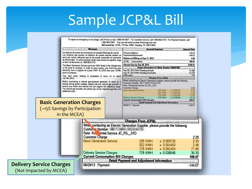#### Sample JCP&L Bill

#### To report an emergency or an outage, call 24 hours a day 1-888-544-4877. For Customer Service, call 1-800-662-3115. For Payment Options, call 1-800-962-0383. Pay your bill online at www.firstenergycorp.com Bill issued by: JCP&L, PO Box 16001, Reading PA 19612-6001

|                                 |                                          | <b>Messages</b>                                                                                                                                                                                                                                                                          | <b>Account Summary</b><br><b>Amount Due</b>                                                                                                                                                                |                                                                                     |                            |
|---------------------------------|------------------------------------------|------------------------------------------------------------------------------------------------------------------------------------------------------------------------------------------------------------------------------------------------------------------------------------------|------------------------------------------------------------------------------------------------------------------------------------------------------------------------------------------------------------|-------------------------------------------------------------------------------------|----------------------------|
|                                 |                                          | Se dispone de avisos de terminación en español Mensaje de cuenta.                                                                                                                                                                                                                        | <b>Previous Balance</b>                                                                                                                                                                                    |                                                                                     | 144.07                     |
|                                 |                                          | Los usuarios que poseen un balance de cuenta vencido reciben un<br>aviso por correo indicando que se les puede suspender el suministro                                                                                                                                                   | Payments/Adjustments                                                                                                                                                                                       |                                                                                     | $-144.07$                  |
|                                 |                                          | de electricidad. Si usted necesita recibir esos avisos en español, haga                                                                                                                                                                                                                  | Balance at Billing on Sep 11, 2013<br>JCP&L - Consumption                                                                                                                                                  |                                                                                     | 0.00                       |
|                                 | el favor de llamarnos al 1-800-662-3115. |                                                                                                                                                                                                                                                                                          | Amount Due by Sep 26, 2013                                                                                                                                                                                 |                                                                                     | 109.07<br>\$109.07         |
|                                 |                                          | The Basic Generation Service price per KWH listed in the charges box<br>is the price to compare. In order to save money, you must buy your                                                                                                                                               | <b>Usage Information for Meter Number</b>                                                                                                                                                                  |                                                                                     |                            |
|                                 |                                          | electricity from a supplier at a price THAT IS LESS than your JCP&L                                                                                                                                                                                                                      | Sep 09, 2013 KWH Reading (Actual)                                                                                                                                                                          |                                                                                     | 14,498                     |
|                                 | price to compare.                        |                                                                                                                                                                                                                                                                                          | Aug 10, 2013 KWH Reading (Estimate)<br><b>KWH</b> used                                                                                                                                                     |                                                                                     | 13,720                     |
|                                 | Oct 08, 2013.                            | Your next meter reading is scheduled to occur on or about                                                                                                                                                                                                                                |                                                                                                                                                                                                            | <b>Charges From JCP&amp;L</b>                                                       | 778                        |
|                                 | additional costs.                        | Before purchasing a natural gas-powered generator to serve as a<br>backup during power outages, please call your natural gas provider to<br>ensure your meter and service line can support the additional usage.<br>The natural gas provider can advise you of any required upgrades and | When contacting an Electric Generation Supplier, please provide the following<br><b>Customer Number</b><br>Rate Residential Service JC_RS_01D<br><b>Customer Charge</b><br><b>Basic Generation Service</b> | <b>226 KWH</b><br>x 0.009735<br>552 KWH<br>x 0004493<br><b>778 KWH</b><br>x 0092404 | 220<br>220<br>2.48<br>7189 |
|                                 |                                          |                                                                                                                                                                                                                                                                                          | <b>Delivery Service Charges</b>                                                                                                                                                                            | <b>778 KWH</b><br>x 0 0 38 9 4 6                                                    | 30 30                      |
|                                 | <b>Basic Generation Charges</b>          |                                                                                                                                                                                                                                                                                          | <b>Current Consumption Bill Charges</b>                                                                                                                                                                    | <b>Detail Payment and Adjustment Information</b>                                    | 109.07                     |
|                                 |                                          |                                                                                                                                                                                                                                                                                          | 08/29/13 Payment                                                                                                                                                                                           |                                                                                     | $-144.07$                  |
|                                 | in the MCEA)                             |                                                                                                                                                                                                                                                                                          | <b>Charges From JCP&amp;L</b>                                                                                                                                                                              |                                                                                     |                            |
|                                 |                                          |                                                                                                                                                                                                                                                                                          |                                                                                                                                                                                                            |                                                                                     |                            |
|                                 |                                          | Whet contacting an Electric Generation Supplier, please provide the following.<br>Custon. v Number:<br>ential Service JC_RS_01D<br>Rate R<br><b>Customer Charge</b>                                                                                                                      |                                                                                                                                                                                                            |                                                                                     | 220                        |
|                                 |                                          | <b>Basic Generation Service</b>                                                                                                                                                                                                                                                          | <b>226 KWH</b>                                                                                                                                                                                             | x 0 009735                                                                          | 220                        |
|                                 |                                          |                                                                                                                                                                                                                                                                                          | <b>552 KWH</b>                                                                                                                                                                                             | x 0 004493                                                                          | 248                        |
|                                 |                                          |                                                                                                                                                                                                                                                                                          | <b>778 KWH</b>                                                                                                                                                                                             | x 0092404                                                                           | 7189                       |
|                                 |                                          | <b>Delivery Service Charges</b>                                                                                                                                                                                                                                                          | <b>778 KWH</b>                                                                                                                                                                                             | x 0 0 38946                                                                         | 30 30                      |
|                                 |                                          | <b>Current Consumption Bill Charges</b>                                                                                                                                                                                                                                                  |                                                                                                                                                                                                            |                                                                                     | 109.07                     |
|                                 |                                          |                                                                                                                                                                                                                                                                                          |                                                                                                                                                                                                            |                                                                                     |                            |
|                                 |                                          |                                                                                                                                                                                                                                                                                          | Detail Payment and Adjustment Information                                                                                                                                                                  |                                                                                     |                            |
| <b>Delivery Service Charges</b> |                                          | 08/29/13 Payment                                                                                                                                                                                                                                                                         |                                                                                                                                                                                                            |                                                                                     | $-144.07$                  |
| (Not Impacted by MCEA)          |                                          |                                                                                                                                                                                                                                                                                          |                                                                                                                                                                                                            |                                                                                     |                            |